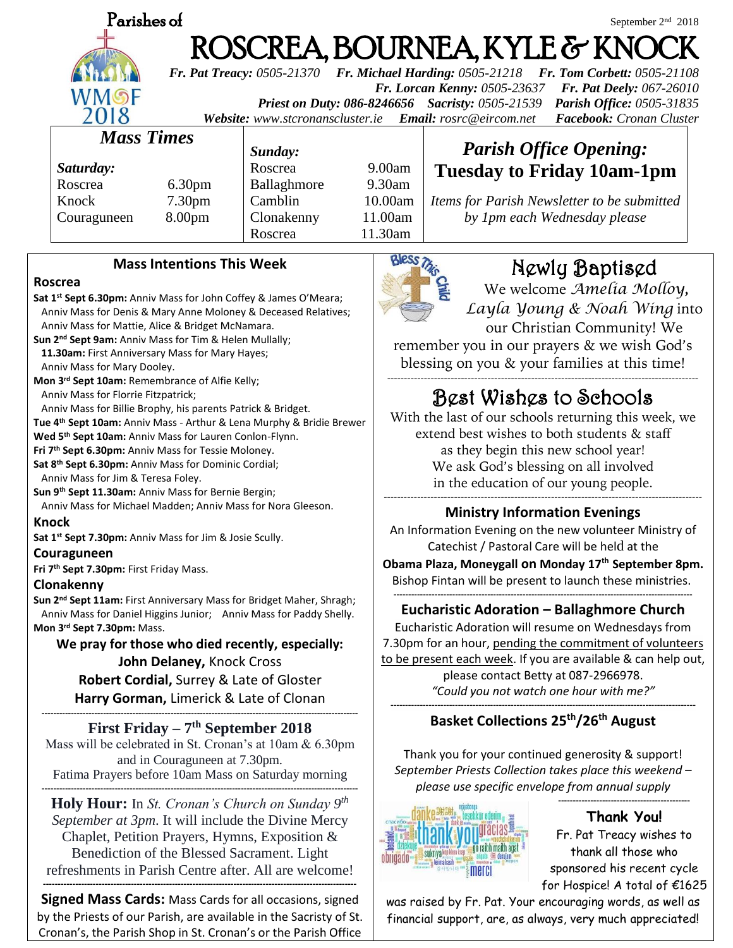| Parishes of                                                                                            |                    |             |           | September 2 <sup>nd</sup> 2018                                                                                                                                                  |
|--------------------------------------------------------------------------------------------------------|--------------------|-------------|-----------|---------------------------------------------------------------------------------------------------------------------------------------------------------------------------------|
| ROSCREA, BOURNEA, KYLE & KNOCK<br><b>Fr. Pat Treacy: 0505-21370</b><br>Fr. Michael Harding: 0505-21218 |                    |             |           |                                                                                                                                                                                 |
| WMSF                                                                                                   |                    |             |           | Fr. Tom Corbett: 0505-21108<br>Fr. Lorcan Kenny: 0505-23637<br><b>Fr. Pat Deely: 067-26010</b><br>Parish Office: 0505-31835<br>Priest on Duty: 086-8246656 Sacristy: 0505-21539 |
| 2018<br>Facebook: Cronan Cluster<br>Website: www.stcronanscluster.ie Email: rosrc@eircom.net           |                    |             |           |                                                                                                                                                                                 |
| <b>Mass Times</b>                                                                                      |                    | Sunday:     |           | <b>Parish Office Opening:</b>                                                                                                                                                   |
| Saturday:                                                                                              |                    | Roscrea     | 9.00am    | <b>Tuesday to Friday 10am-1pm</b>                                                                                                                                               |
| Roscrea                                                                                                | 6.30 <sub>pm</sub> | Ballaghmore | $9.30$ am |                                                                                                                                                                                 |
| Knock                                                                                                  | 7.30 <sub>pm</sub> | Camblin     | 10.00am   | Items for Parish Newsletter to be submitted                                                                                                                                     |
| Couraguneen                                                                                            | 8.00 <sub>pm</sub> | Clonakenny  | 11.00am   | by 1pm each Wednesday please                                                                                                                                                    |
|                                                                                                        |                    | Roscrea     | 11.30am   |                                                                                                                                                                                 |
| <b>Mass Intentions This Week</b>                                                                       |                    |             |           | Newlu Baptised                                                                                                                                                                  |

### **Roscrea**

**Sat 1st Sept 6.30pm:** Anniv Mass for John Coffey & James O'Meara; Anniv Mass for Denis & Mary Anne Moloney & Deceased Relatives; Anniv Mass for Mattie, Alice & Bridget McNamara. **Sun 2nd Sept 9am:** Anniv Mass for Tim & Helen Mullally;

 **11.30am:** First Anniversary Mass for Mary Hayes; Anniv Mass for Mary Dooley.

**Mon 3rd Sept 10am:** Remembrance of Alfie Kelly; Anniv Mass for Florrie Fitzpatrick;

Anniv Mass for Billie Brophy, his parents Patrick & Bridget.

**Tue 4th Sept 10am:** Anniv Mass - Arthur & Lena Murphy & Bridie Brewer

**Wed 5th Sept 10am:** Anniv Mass for Lauren Conlon-Flynn.

**Fri 7th Sept 6.30pm:** Anniv Mass for Tessie Moloney.

**Sat 8th Sept 6.30pm:** Anniv Mass for Dominic Cordial; Anniv Mass for Jim & Teresa Foley.

**Sun 9th Sept 11.30am:** Anniv Mass for Bernie Bergin;

 Anniv Mass for Michael Madden; Anniv Mass for Nora Gleeson. **Knock**

**Sat 1 st Sept 7.30pm:** Anniv Mass for Jim & Josie Scully.

### **Couraguneen**

**Fri 7th Sept 7.30pm:** First Friday Mass.

### **Clonakenny**

**Sun 2nd Sept 11am:** First Anniversary Mass for Bridget Maher, Shragh; Anniv Mass for Daniel Higgins Junior; Anniv Mass for Paddy Shelly. **Mon 3rd Sept 7.30pm:** Mass.

**We pray for those who died recently, especially:**

**John Delaney,** Knock Cross **Robert Cordial,** Surrey & Late of Gloster **Harry Gorman,** Limerick & Late of Clonan

**------------------------------------------------------------------------------------------------------------ First Friday – 7 th September 2018** Mass will be celebrated in St. Cronan's at 10am & 6.30pm and in Couraguneen at 7.30pm. Fatima Prayers before 10am Mass on Saturday morning

**------------------------------------------------------------------------------------------------------------**

**Holy Hour:** In *St. Cronan's Church on Sunday 9 th September at 3pm*. It will include the Divine Mercy Chaplet, Petition Prayers, Hymns, Exposition & Benediction of the Blessed Sacrament. Light refreshments in Parish Centre after. All are welcome!

**Signed Mass Cards:** Mass Cards for all occasions, signed by the Priests of our Parish, are available in the Sacristy of St. Cronan's, the Parish Shop in St. Cronan's or the Parish Office

**-----------------------------------------------------------------------------------------------------------**



# Newly Baptised

We welcome *Amelia Molloy, Layla Young & Noah Wing* into our Christian Community! We

remember you in our prayers & we wish God's blessing on you & your families at this time!

### --------------------------------------------------------------------------------------------- Best Wishes to Schools

With the last of our schools returning this week, we extend best wishes to both students & staff as they begin this new school year! We ask God's blessing on all involved in the education of our young people. -----------------------------------------------------------------------------------------------

### **Ministry Information Evenings**

An Information Evening on the new volunteer Ministry of Catechist / Pastoral Care will be held at the **Obama Plaza, Moneygall on Monday 17th September 8pm.** Bishop Fintan will be present to launch these ministries.

#### **------------------------------------------------------------------------------------------------------ Eucharistic Adoration – Ballaghmore Church**

Eucharistic Adoration will resume on Wednesdays from 7.30pm for an hour, pending the commitment of volunteers to be present each week. If you are available & can help out, please contact Betty at 087-2966978. *"Could you not watch one hour with me?"* **--------------------------------------------------------------------------------------------------------**

# **Basket Collections 25th/26th August**

Thank you for your continued generosity & support! *September Priests Collection takes place this weekend – please use specific envelope from annual supply*



**Thank You!** Fr. Pat Treacy wishes to thank all those who sponsored his recent cycle for Hospice! A total of €1625

**---------------------------------------------**

was raised by Fr. Pat. Your encouraging words, as well as financial support, are, as always, very much appreciated!